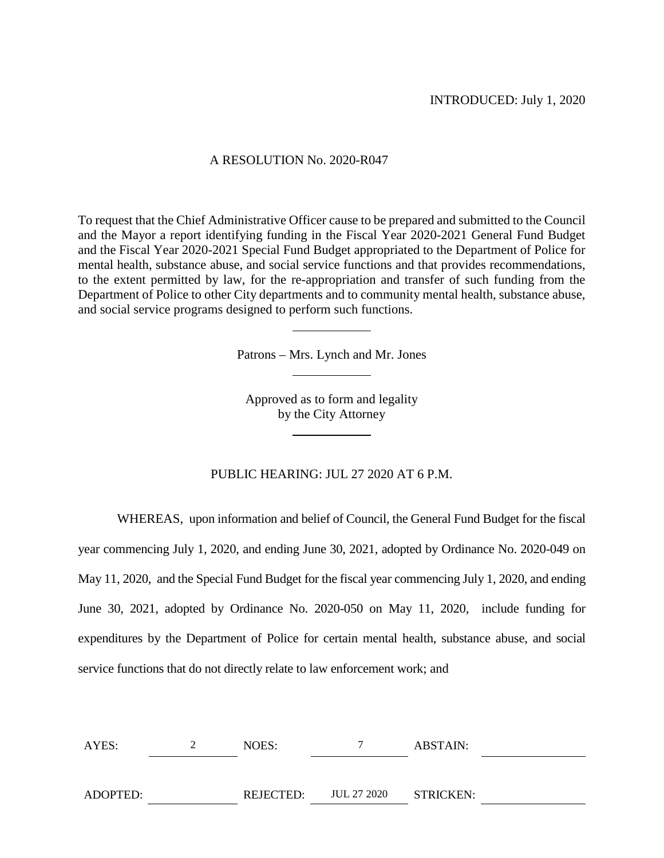## A RESOLUTION No. 2020-R047

To request that the Chief Administrative Officer cause to be prepared and submitted to the Council and the Mayor a report identifying funding in the Fiscal Year 2020-2021 General Fund Budget and the Fiscal Year 2020-2021 Special Fund Budget appropriated to the Department of Police for mental health, substance abuse, and social service functions and that provides recommendations, to the extent permitted by law, for the re-appropriation and transfer of such funding from the Department of Police to other City departments and to community mental health, substance abuse, and social service programs designed to perform such functions.

Patrons – Mrs. Lynch and Mr. Jones

Approved as to form and legality by the City Attorney

# PUBLIC HEARING: JUL 27 2020 AT 6 P.M.

WHEREAS, upon information and belief of Council, the General Fund Budget for the fiscal year commencing July 1, 2020, and ending June 30, 2021, adopted by Ordinance No. 2020-049 on May 11, 2020, and the Special Fund Budget for the fiscal year commencing July 1, 2020, and ending June 30, 2021, adopted by Ordinance No. 2020-050 on May 11, 2020, include funding for expenditures by the Department of Police for certain mental health, substance abuse, and social service functions that do not directly relate to law enforcement work; and

| AYES:    | NOES:     |             | ABSTAIN:  |  |
|----------|-----------|-------------|-----------|--|
|          |           |             |           |  |
| ADOPTED: | REJECTED: | JUL 27 2020 | STRICKEN: |  |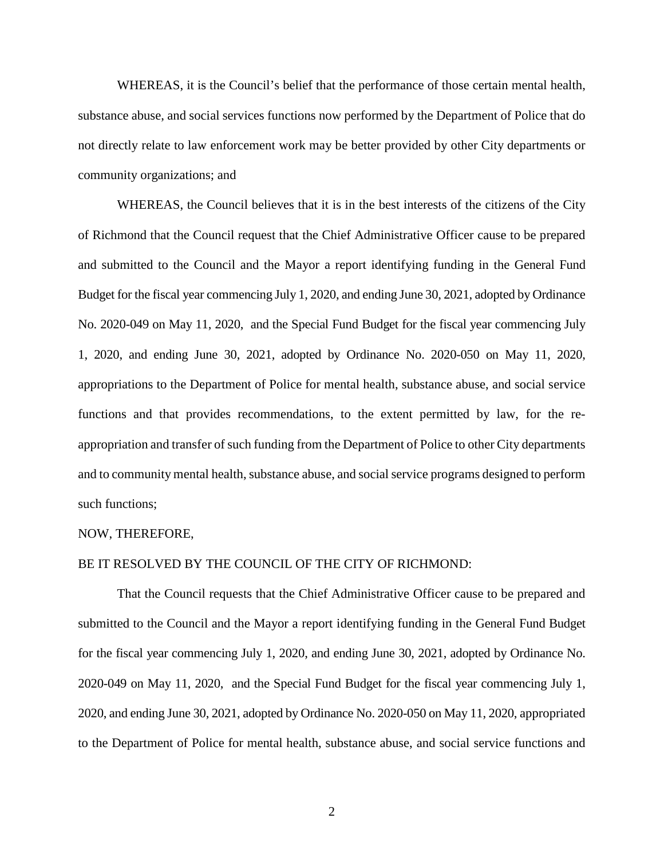WHEREAS, it is the Council's belief that the performance of those certain mental health, substance abuse, and social services functions now performed by the Department of Police that do not directly relate to law enforcement work may be better provided by other City departments or community organizations; and

WHEREAS, the Council believes that it is in the best interests of the citizens of the City of Richmond that the Council request that the Chief Administrative Officer cause to be prepared and submitted to the Council and the Mayor a report identifying funding in the General Fund Budget for the fiscal year commencing July 1, 2020, and ending June 30, 2021, adopted by Ordinance No. 2020-049 on May 11, 2020, and the Special Fund Budget for the fiscal year commencing July 1, 2020, and ending June 30, 2021, adopted by Ordinance No. 2020-050 on May 11, 2020, appropriations to the Department of Police for mental health, substance abuse, and social service functions and that provides recommendations, to the extent permitted by law, for the reappropriation and transfer of such funding from the Department of Police to other City departments and to community mental health, substance abuse, and social service programs designed to perform such functions;

## NOW, THEREFORE,

## BE IT RESOLVED BY THE COUNCIL OF THE CITY OF RICHMOND:

That the Council requests that the Chief Administrative Officer cause to be prepared and submitted to the Council and the Mayor a report identifying funding in the General Fund Budget for the fiscal year commencing July 1, 2020, and ending June 30, 2021, adopted by Ordinance No. 2020-049 on May 11, 2020, and the Special Fund Budget for the fiscal year commencing July 1, 2020, and ending June 30, 2021, adopted by Ordinance No. 2020-050 on May 11, 2020, appropriated to the Department of Police for mental health, substance abuse, and social service functions and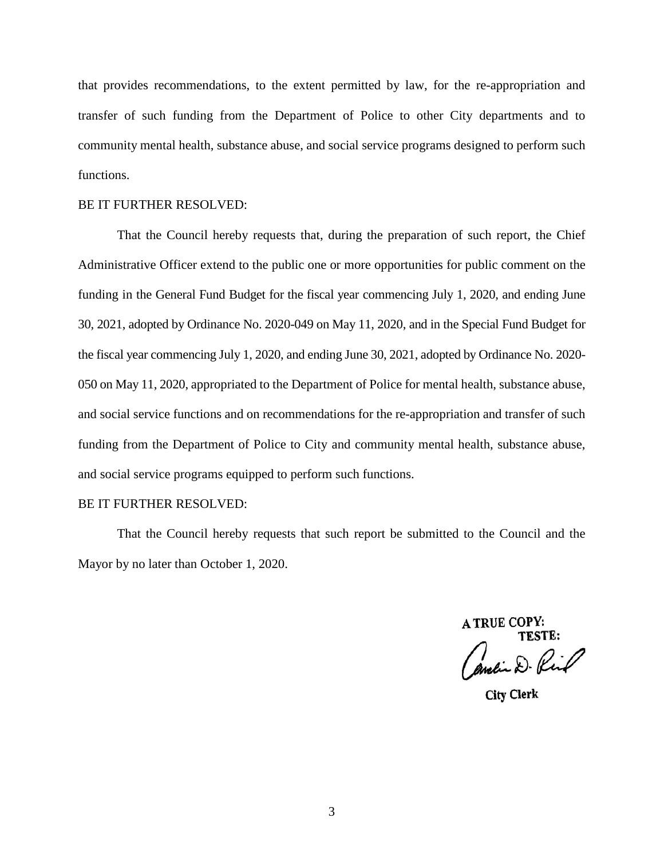that provides recommendations, to the extent permitted by law, for the re-appropriation and transfer of such funding from the Department of Police to other City departments and to community mental health, substance abuse, and social service programs designed to perform such functions.

## BE IT FURTHER RESOLVED:

That the Council hereby requests that, during the preparation of such report, the Chief Administrative Officer extend to the public one or more opportunities for public comment on the funding in the General Fund Budget for the fiscal year commencing July 1, 2020, and ending June 30, 2021, adopted by Ordinance No. 2020-049 on May 11, 2020, and in the Special Fund Budget for the fiscal year commencing July 1, 2020, and ending June 30, 2021, adopted by Ordinance No. 2020- 050 on May 11, 2020, appropriated to the Department of Police for mental health, substance abuse, and social service functions and on recommendations for the re-appropriation and transfer of such funding from the Department of Police to City and community mental health, substance abuse, and social service programs equipped to perform such functions.

## BE IT FURTHER RESOLVED:

That the Council hereby requests that such report be submitted to the Council and the Mayor by no later than October 1, 2020.

> **A TRUE COPY:** TESTE:

andin D. Rind

**City Clerk**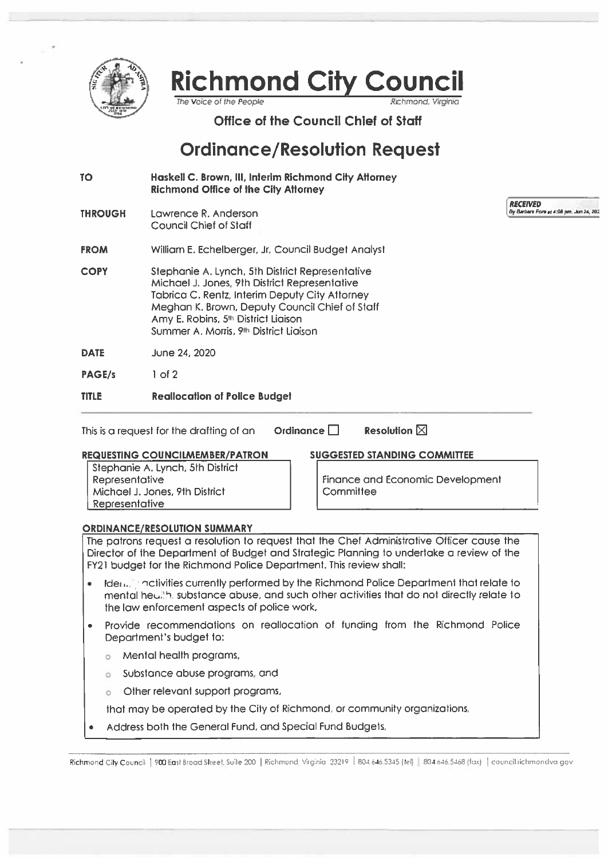

**Richmond City Council** 

The Voice of the People

Office of the Council Chief of Staff

# **Ordinance/Resolution Request**

- Haskell C. Brown, III, Interim Richmond City Attorney **TO Richmond Office of the City Attorney**
- **THROUGH** Lawrence R. Anderson **Council Chief of Staff**

**FROM** William E. Echelberger, Jr. Council Budget Analyst

- Stephanie A. Lynch, 5th District Representative **COPY** Michael J. Jones, 9th District Representative Tabrica C. Rentz, Interim Deputy City Attorney Meghan K. Brown, Deputy Council Chief of Staff Amy E. Robins, 5<sup>th</sup> District Liaison Summer A. Morris, 9th District Liaison
- **DATE** June 24, 2020
- **PAGE/s**  $1$  of  $2$

#### **TITLE Reallocation of Police Budget**

Ordinance  $\Box$ This is a request for the drafting of an

**Resolution**  $\nabla$ 

## **REQUESTING COUNCILMEMBER/PATRON**

Stephanie A. Lynch, 5th District Representative Michael J. Jones, 9th District Representative

**SUGGESTED STANDING COMMITTEE** 

Finance and Economic Development Committee

**RECEIVED** 

By Barbara Fore at 4:08 pm, Jun 24, 202

# **ORDINANCE/RESOLUTION SUMMARY**

The patrons request a resolution to request that the Chef Administrative Officer cause the Director of the Department of Budget and Strategic Planning to undertake a review of the FY21 budget for the Richmond Police Department. This review shall:

- Ide<sub>Unit</sub>urnativities currently performed by the Richmond Police Department that relate to mental heulth, substance abuse, and such other activities that do not directly relate to the law enforcement aspects of police work,
- Provide recommendations on reallocation of funding from the Richmond Police Department's budget to:
	- **8** Mental health programs,
	- Substance abuse programs, and  $\alpha$
	- Other relevant support programs,

that may be operated by the City of Richmond, or community organizations,

Address both the General Fund, and Special Fund Budgets,

Richmond City Council | 900 East Broad Street, Suite 200 | Richmond, Virginia 23219 | 804.646,5345 [tel] | 804.646,5468 (fax) | council richmondva.gov